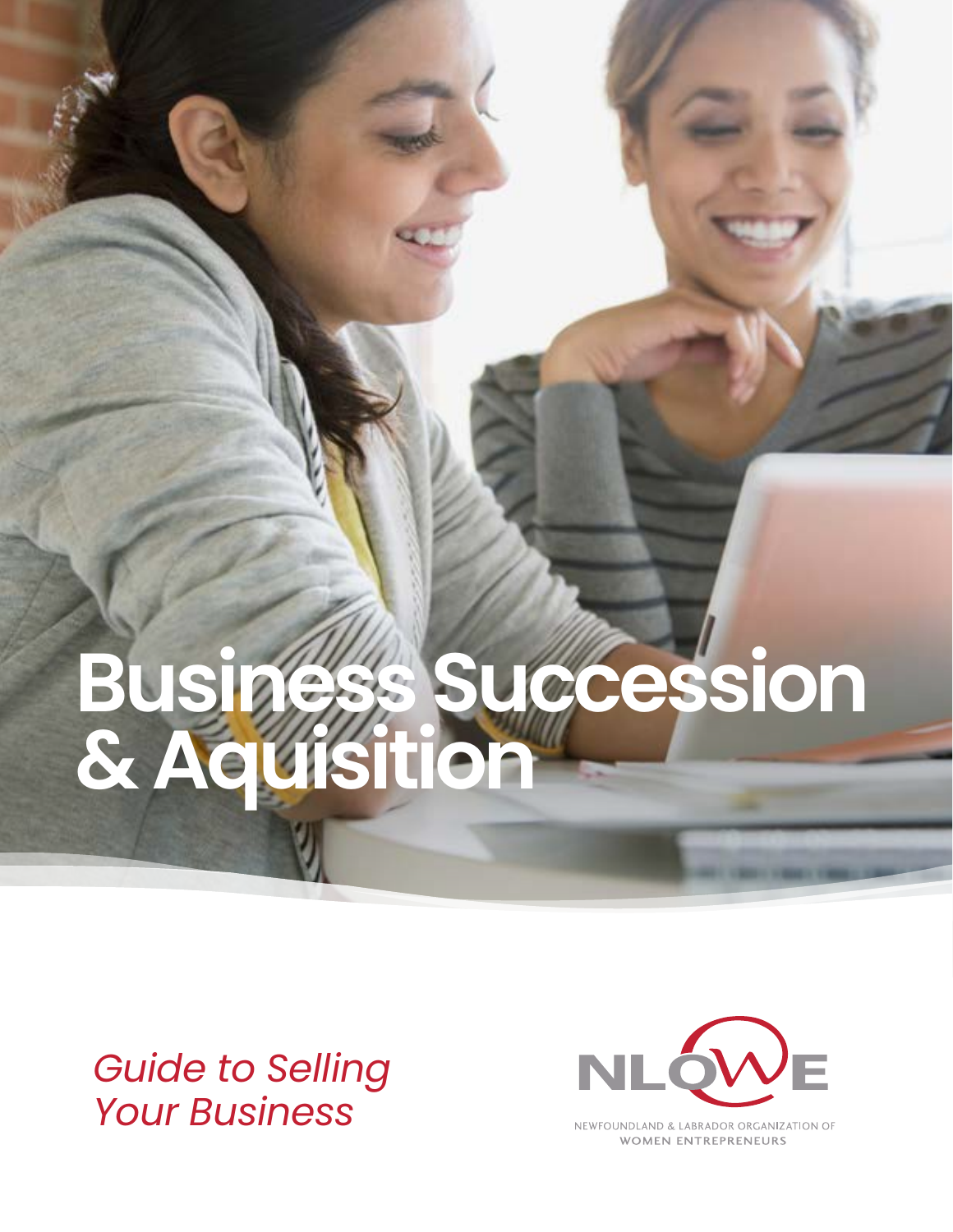# **Business Succession & Aquisition**

# *Guide to Selling Your Business*



NEWFOUNDLAND & LABRADOR ORGANIZATION OF **WOMEN ENTREPRENEURS**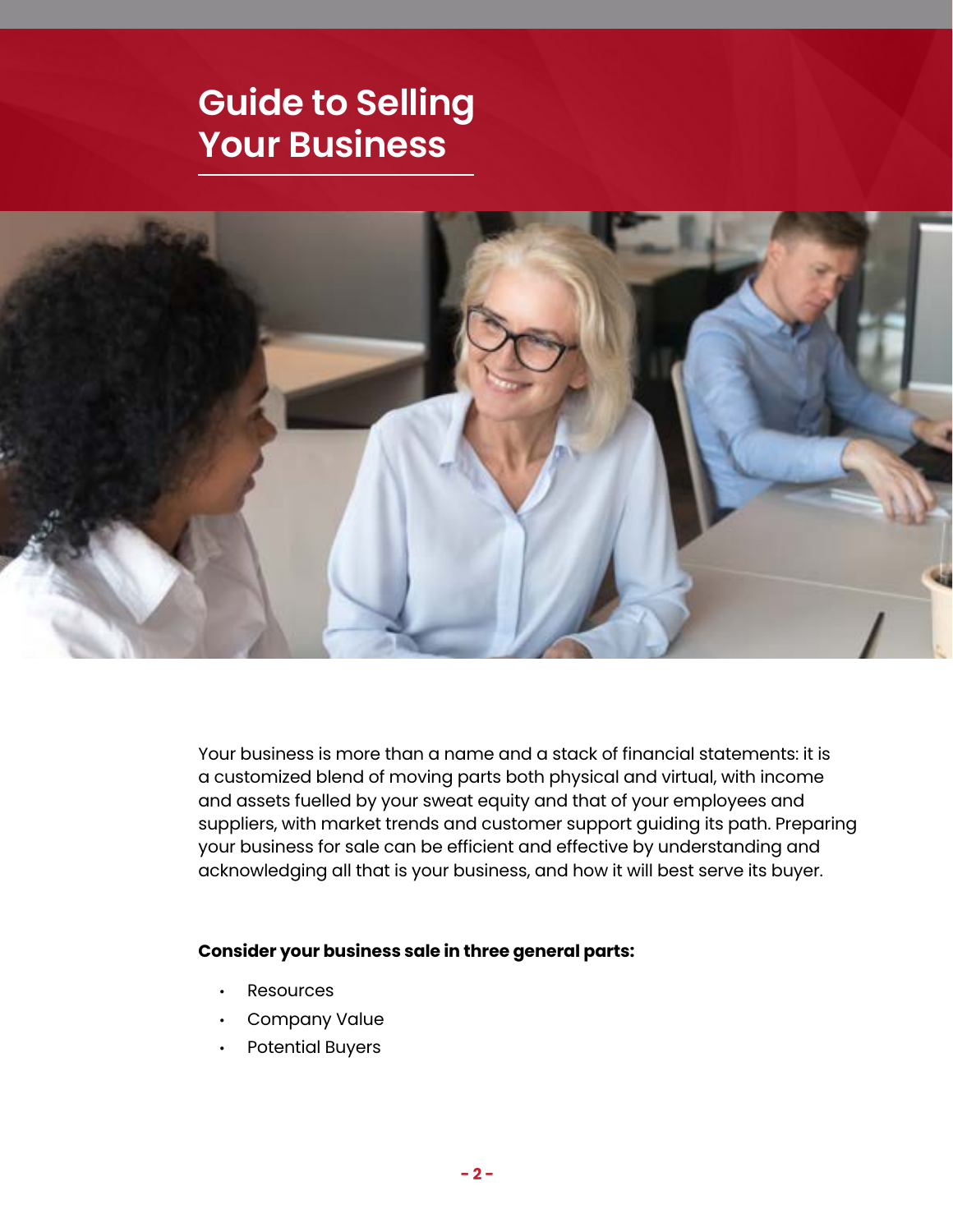# **Guide to Selling Your Business**



Your business is more than a name and a stack of financial statements: it is a customized blend of moving parts both physical and virtual, with income and assets fuelled by your sweat equity and that of your employees and suppliers, with market trends and customer support guiding its path. Preparing your business for sale can be efficient and effective by understanding and acknowledging all that is your business, and how it will best serve its buyer.

#### **Consider your business sale in three general parts:**

- **Resources**
- Company Value
- Potential Buyers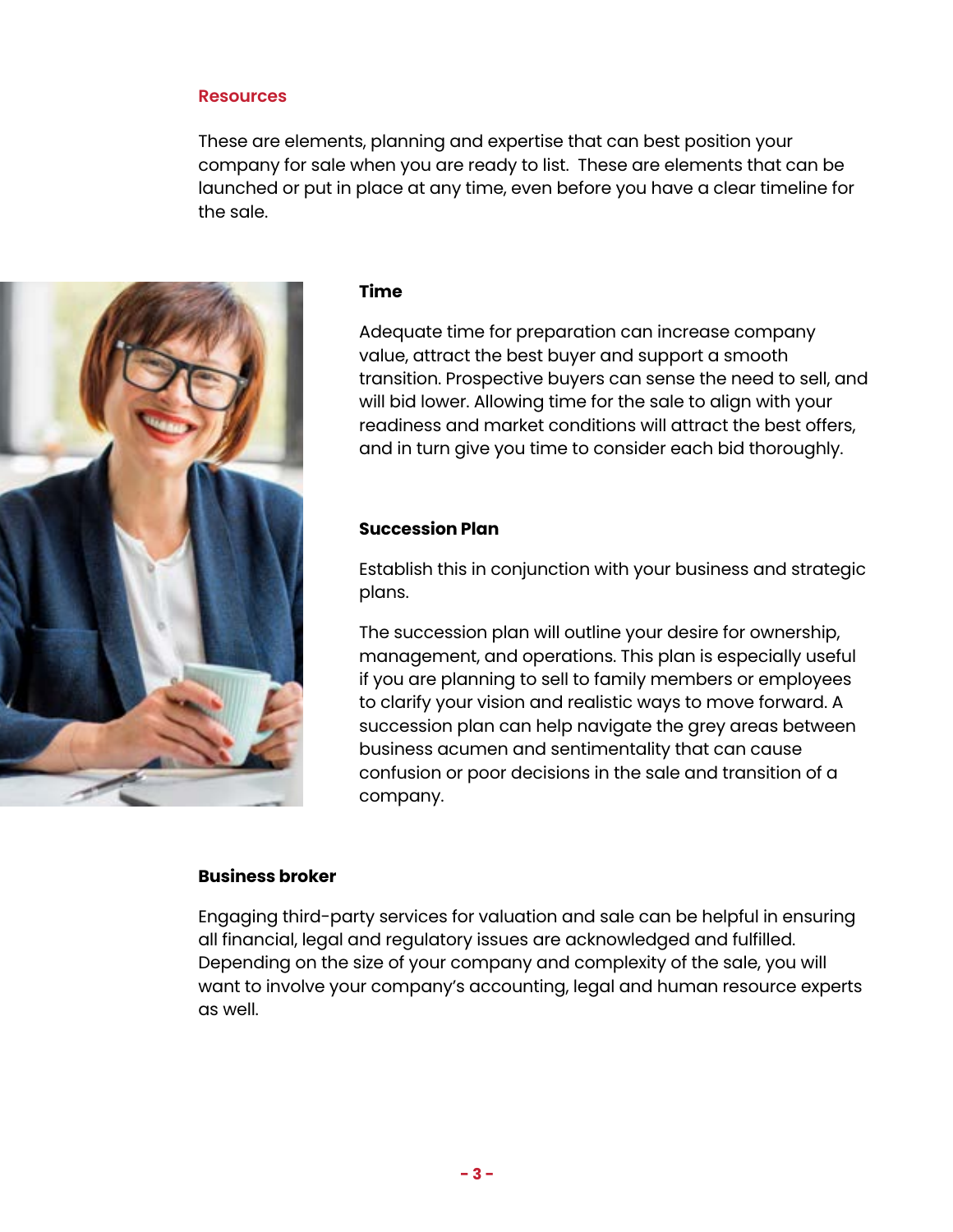#### **Resources**

These are elements, planning and expertise that can best position your company for sale when you are ready to list. These are elements that can be launched or put in place at any time, even before you have a clear timeline for the sale.



#### **Time**

Adequate time for preparation can increase company value, attract the best buyer and support a smooth transition. Prospective buyers can sense the need to sell, and will bid lower. Allowing time for the sale to align with your readiness and market conditions will attract the best offers, and in turn give you time to consider each bid thoroughly.

#### **Succession Plan**

Establish this in conjunction with your business and strategic plans.

The succession plan will outline your desire for ownership, management, and operations. This plan is especially useful if you are planning to sell to family members or employees to clarify your vision and realistic ways to move forward. A succession plan can help navigate the grey areas between business acumen and sentimentality that can cause confusion or poor decisions in the sale and transition of a company.

#### **Business broker**

Engaging third-party services for valuation and sale can be helpful in ensuring all financial, legal and regulatory issues are acknowledged and fulfilled. Depending on the size of your company and complexity of the sale, you will want to involve your company's accounting, legal and human resource experts as well.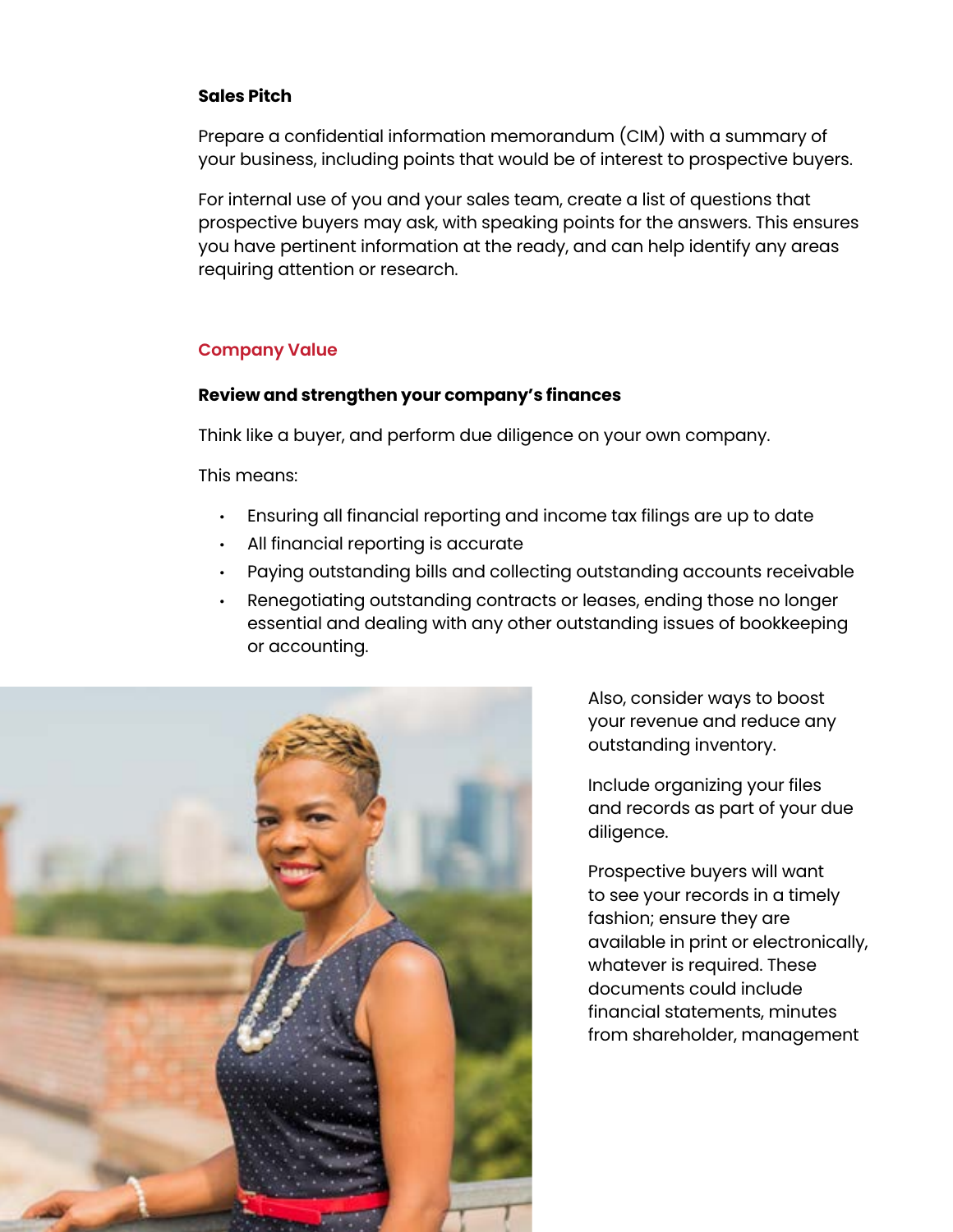#### **Sales Pitch**

Prepare a confidential information memorandum (CIM) with a summary of your business, including points that would be of interest to prospective buyers.

For internal use of you and your sales team, create a list of questions that prospective buyers may ask, with speaking points for the answers. This ensures you have pertinent information at the ready, and can help identify any areas requiring attention or research.

# **Company Value**

#### **Review and strengthen your company's finances**

Think like a buyer, and perform due diligence on your own company.

This means:

- Ensuring all financial reporting and income tax filings are up to date
- All financial reporting is accurate
- Paying outstanding bills and collecting outstanding accounts receivable
- Renegotiating outstanding contracts or leases, ending those no longer essential and dealing with any other outstanding issues of bookkeeping or accounting.



Also, consider ways to boost your revenue and reduce any outstanding inventory.

Include organizing your files and records as part of your due diligence.

Prospective buyers will want to see your records in a timely fashion; ensure they are available in print or electronically, whatever is required. These documents could include financial statements, minutes from shareholder, management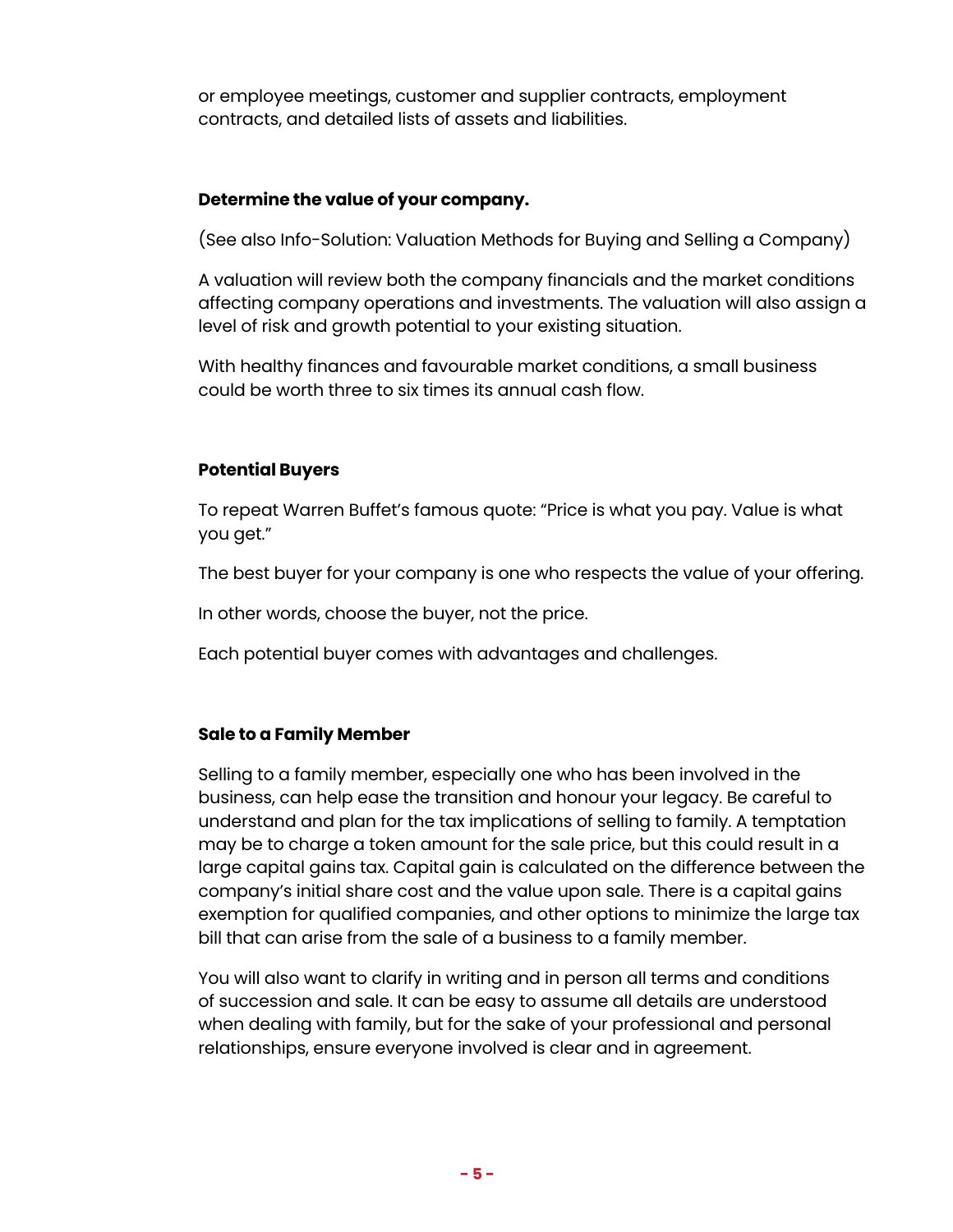or employee meetings, customer and supplier contracts, employment contracts, and detailed lists of assets and liabilities.

## **Determine the value of your company.**

(See also Info-Solution: Valuation Methods for Buying and Selling a Company)

A valuation will review both the company financials and the market conditions affecting company operations and investments. The valuation will also assign a level of risk and growth potential to your existing situation.

With healthy finances and favourable market conditions, a small business could be worth three to six times its annual cash flow.

## **Potential Buyers**

To repeat Warren Buffet's famous quote: "Price is what you pay. Value is what you get."

The best buyer for your company is one who respects the value of your offering.

In other words, choose the buyer, not the price.

Each potential buyer comes with advantages and challenges.

## **Sale to a Family Member**

Selling to a family member, especially one who has been involved in the business, can help ease the transition and honour your legacy. Be careful to understand and plan for the tax implications of selling to family. A temptation may be to charge a token amount for the sale price, but this could result in a large capital gains tax. Capital gain is calculated on the difference between the company's initial share cost and the value upon sale. There is a capital gains exemption for qualified companies, and other options to minimize the large tax bill that can arise from the sale of a business to a family member.

You will also want to clarify in writing and in person all terms and conditions of succession and sale. It can be easy to assume all details are understood when dealing with family, but for the sake of your professional and personal relationships, ensure everyone involved is clear and in agreement.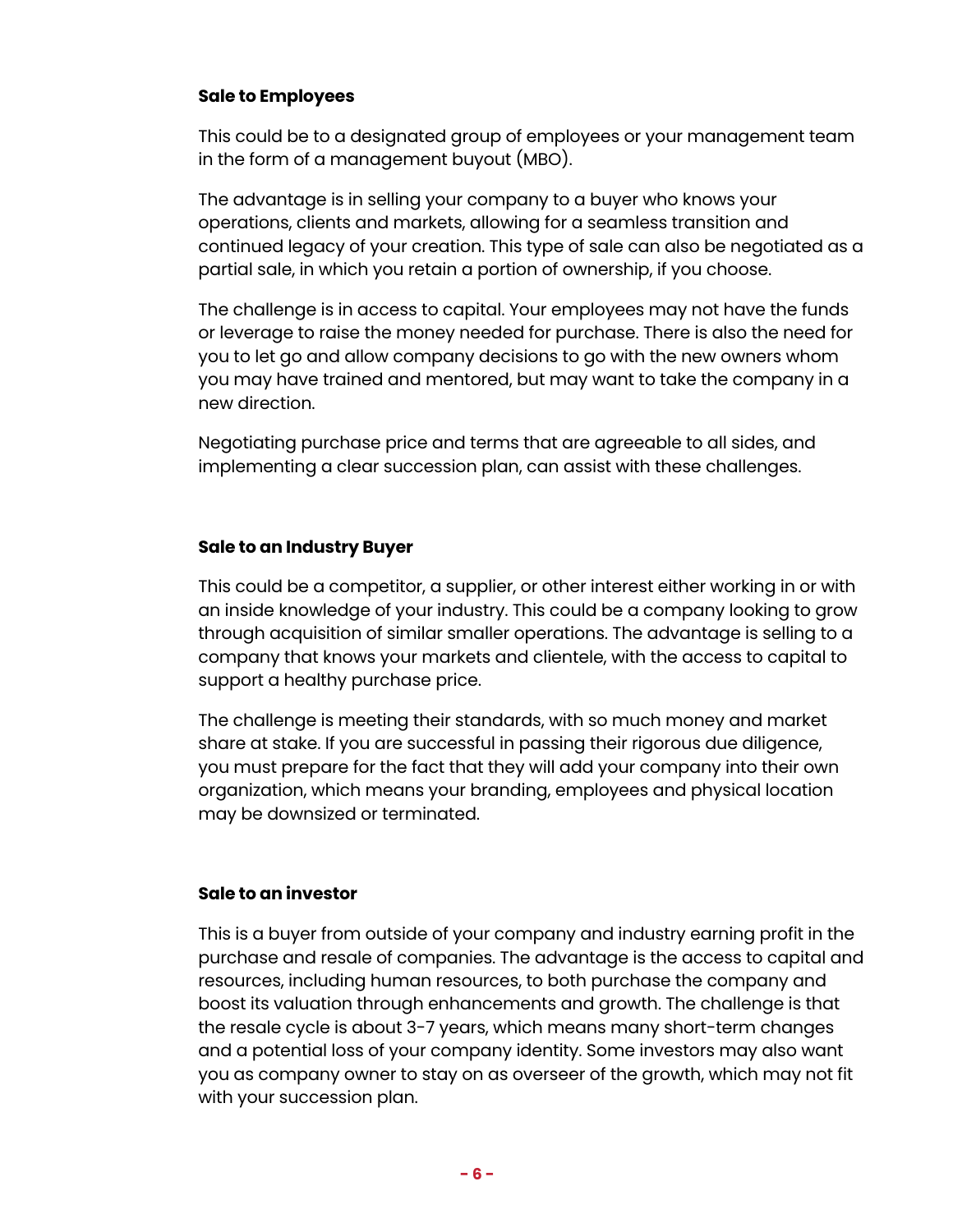## **Sale to Employees**

This could be to a designated group of employees or your management team in the form of a management buyout (MBO).

The advantage is in selling your company to a buyer who knows your operations, clients and markets, allowing for a seamless transition and continued legacy of your creation. This type of sale can also be negotiated as a partial sale, in which you retain a portion of ownership, if you choose.

The challenge is in access to capital. Your employees may not have the funds or leverage to raise the money needed for purchase. There is also the need for you to let go and allow company decisions to go with the new owners whom you may have trained and mentored, but may want to take the company in a new direction.

Negotiating purchase price and terms that are agreeable to all sides, and implementing a clear succession plan, can assist with these challenges.

#### **Sale to an Industry Buyer**

This could be a competitor, a supplier, or other interest either working in or with an inside knowledge of your industry. This could be a company looking to grow through acquisition of similar smaller operations. The advantage is selling to a company that knows your markets and clientele, with the access to capital to support a healthy purchase price.

The challenge is meeting their standards, with so much money and market share at stake. If you are successful in passing their rigorous due diligence, you must prepare for the fact that they will add your company into their own organization, which means your branding, employees and physical location may be downsized or terminated.

#### **Sale to an investor**

This is a buyer from outside of your company and industry earning profit in the purchase and resale of companies. The advantage is the access to capital and resources, including human resources, to both purchase the company and boost its valuation through enhancements and growth. The challenge is that the resale cycle is about 3-7 years, which means many short-term changes and a potential loss of your company identity. Some investors may also want you as company owner to stay on as overseer of the growth, which may not fit with your succession plan.